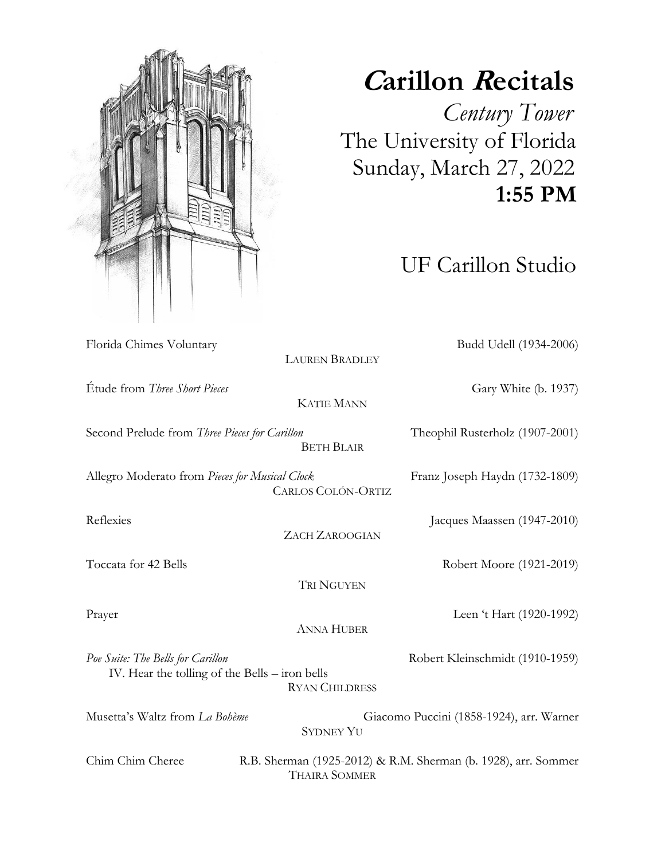Florida Chimes Voluntary Budd Udell (1934-2006)

## **<sup>C</sup>arillon Recitals**

 *Century Tower* The University of Florida Sunday, March 27, 2022  **1:55 PM**

UF Carillon Studio

Étude from *Three Short Pieces* Gary White (b. 1937) KATIE MANN Second Prelude from *Three Pieces for Carillon* Theophil Rusterholz (1907-2001) BETH BLAIR Allegro Moderato from *Pieces for Musical Clock* Franz Joseph Haydn (1732-1809) CARLOS COLÓN-ORTIZ Reflexies Jacques Maassen (1947-2010) ZACH ZAROOGIAN Toccata for 42 Bells Robert Moore (1921-2019) TRI NGUYEN Prayer Leen 't Hart (1920-1992) ANNA HUBER Poe Suite: The Bells for Carillon **Robert Kleinschmidt** (1910-1959) IV. Hear the tolling of the Bells – iron bells RYAN CHILDRESS Musetta's Waltz from *La Bohème* Giacomo Puccini (1858-1924), arr. Warner SYDNEY YU Chim Chim Cheree R.B. Sherman (1925-2012) & R.M. Sherman (b. 1928), arr. Sommer THAIRA SOMMER

LAUREN BRADLEY